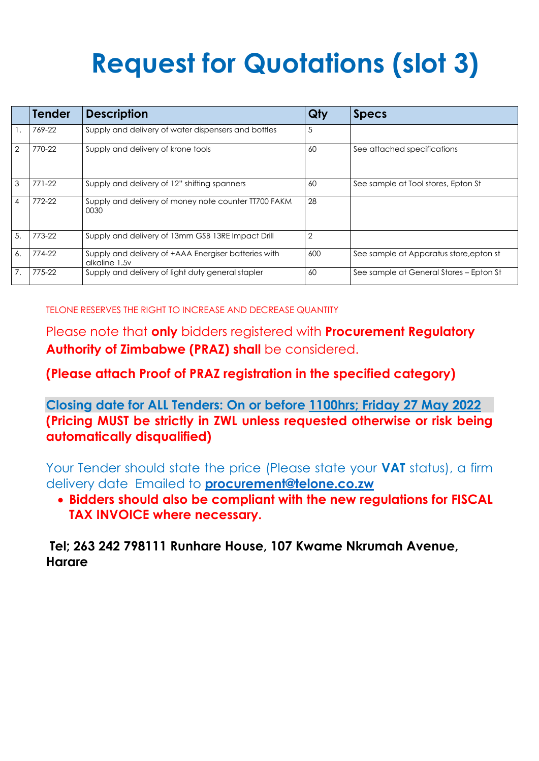## **Request for Quotations (slot 3)**

|                | <b>Tender</b> | <b>Description</b>                                                    | Qty            | <b>Specs</b>                            |
|----------------|---------------|-----------------------------------------------------------------------|----------------|-----------------------------------------|
|                | 769-22        | Supply and delivery of water dispensers and bottles                   | 5              |                                         |
| $\overline{2}$ | 770-22        | Supply and delivery of krone tools                                    | 60             | See attached specifications             |
| 3              | $771 - 22$    | Supply and delivery of 12" shifting spanners                          | 60             | See sample at Tool stores, Epton St     |
| $\overline{4}$ | 772-22        | Supply and delivery of money note counter TT700 FAKM<br>0030          | 28             |                                         |
| 5.             | 773-22        | Supply and delivery of 13mm GSB 13RE Impact Drill                     | $\overline{2}$ |                                         |
| 6.             | 774-22        | Supply and delivery of +AAA Energiser batteries with<br>alkaline 1.5v | 600            | See sample at Apparatus store, epton st |
| 7.             | 775-22        | Supply and delivery of light duty general stapler                     | 60             | See sample at General Stores – Epton St |

TELONE RESERVES THE RIGHT TO INCREASE AND DECREASE QUANTITY

Please note that **only** bidders registered with **Procurement Regulatory Authority of Zimbabwe (PRAZ) shall** be considered.

**(Please attach Proof of PRAZ registration in the specified category)**

**Closing date for ALL Tenders: On or before 1100hrs; Friday 27 May 2022 (Pricing MUST be strictly in ZWL unless requested otherwise or risk being automatically disqualified)**

Your Tender should state the price (Please state your **VAT** status), a firm delivery date Emailed to **[procurement@telone.co.zw](mailto:procurement@telone.co.zw)**

 **Bidders should also be compliant with the new regulations for FISCAL TAX INVOICE where necessary.**

**Tel; 263 242 798111 Runhare House, 107 Kwame Nkrumah Avenue, Harare**